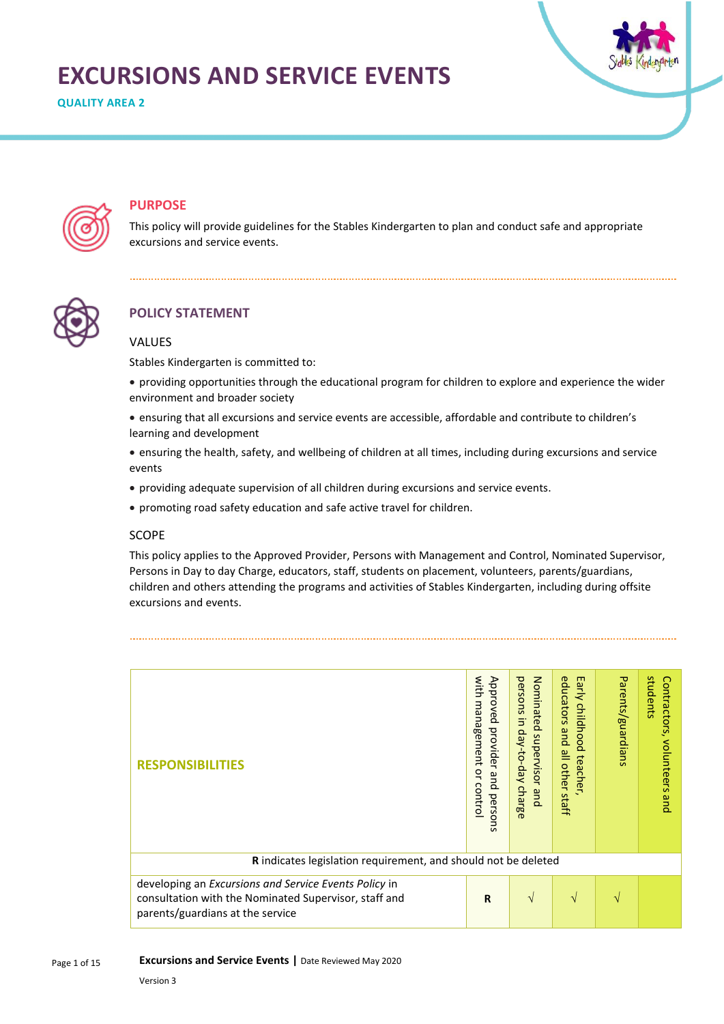# **EXCURSIONS AND SERVICE EVENTS**

**QUALITY AREA 2**





## **PURPOSE**

This policy will provide guidelines for the Stables Kindergarten to plan and conduct safe and appropriate excursions and service events.



# **POLICY STATEMENT**

## VALUES

Stables Kindergarten is committed to:

- providing opportunities through the educational program for children to explore and experience the wider environment and broader society
- ensuring that all excursions and service events are accessible, affordable and contribute to children's learning and development
- ensuring the health, safety, and wellbeing of children at all times, including during excursions and service events
- providing adequate supervision of all children during excursions and service events.
- promoting road safety education and safe active travel for children.

#### **SCOPE**

This policy applies to the Approved Provider, Persons with Management and Control, Nominated Supervisor, Persons in Day to day Charge, educators, staff, students on placement, volunteers, parents/guardians, children and others attending the programs and activities of Stables Kindergarten, including during offsite excursions and events.

| <b>RESPONSIBILITIES</b>                                                                                                                            | with<br>Approved<br>management<br>provider and perso<br>q<br>control<br>ā | Nominated supervisor<br>persons<br>$\exists$<br>day-to-day<br>charge<br>and | educators<br>Early childhood<br>pue<br>$\frac{\omega}{\Box}$<br>teacher<br><b>other</b><br>staff | Parents/guardians | students<br>Contractors,<br>volunteers<br>pue |
|----------------------------------------------------------------------------------------------------------------------------------------------------|---------------------------------------------------------------------------|-----------------------------------------------------------------------------|--------------------------------------------------------------------------------------------------|-------------------|-----------------------------------------------|
| R indicates legislation requirement, and should not be deleted                                                                                     |                                                                           |                                                                             |                                                                                                  |                   |                                               |
| developing an Excursions and Service Events Policy in<br>consultation with the Nominated Supervisor, staff and<br>parents/guardians at the service | $\mathbf R$                                                               | $\sqrt{ }$                                                                  | N                                                                                                |                   |                                               |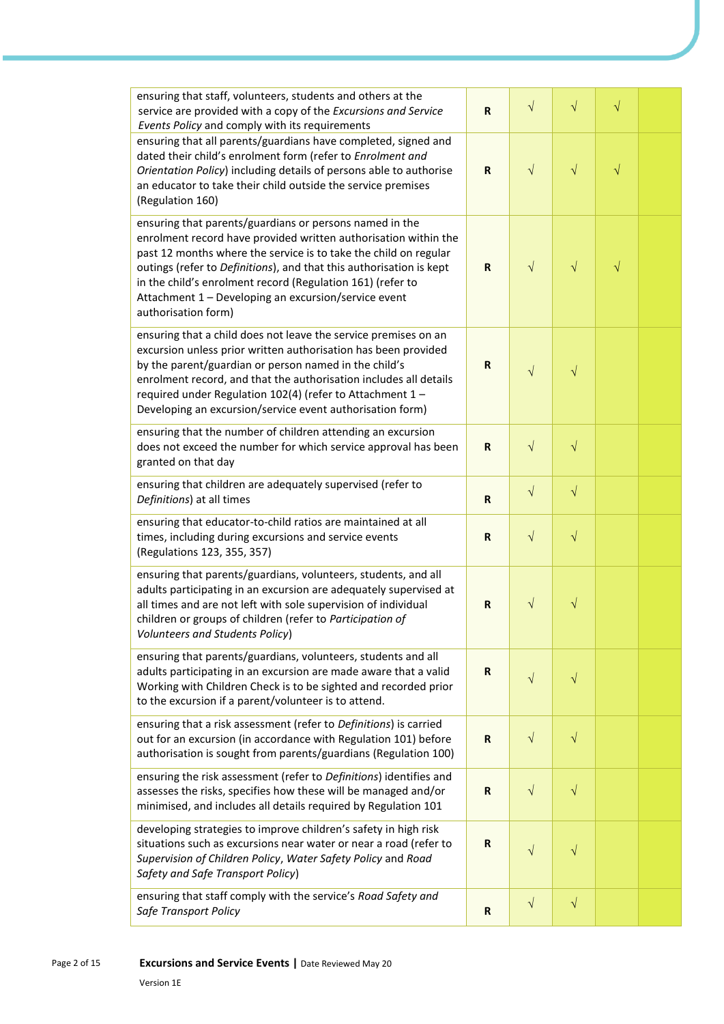| ensuring that staff, volunteers, students and others at the<br>service are provided with a copy of the Excursions and Service<br>Events Policy and comply with its requirements                                                                                                                                                                                                                                    | ${\sf R}$   | $\sqrt{}$ | $\sqrt{}$ | $\sqrt{}$ |  |
|--------------------------------------------------------------------------------------------------------------------------------------------------------------------------------------------------------------------------------------------------------------------------------------------------------------------------------------------------------------------------------------------------------------------|-------------|-----------|-----------|-----------|--|
| ensuring that all parents/guardians have completed, signed and<br>dated their child's enrolment form (refer to Enrolment and<br>Orientation Policy) including details of persons able to authorise<br>an educator to take their child outside the service premises<br>(Regulation 160)                                                                                                                             | ${\sf R}$   | $\sqrt{}$ | $\sqrt{}$ | $\sqrt{}$ |  |
| ensuring that parents/guardians or persons named in the<br>enrolment record have provided written authorisation within the<br>past 12 months where the service is to take the child on regular<br>outings (refer to Definitions), and that this authorisation is kept<br>in the child's enrolment record (Regulation 161) (refer to<br>Attachment 1 - Developing an excursion/service event<br>authorisation form) | $\mathbf R$ | $\sqrt{}$ | $\sqrt{}$ | $\sqrt{}$ |  |
| ensuring that a child does not leave the service premises on an<br>excursion unless prior written authorisation has been provided<br>by the parent/guardian or person named in the child's<br>enrolment record, and that the authorisation includes all details<br>required under Regulation 102(4) (refer to Attachment 1 -<br>Developing an excursion/service event authorisation form)                          | R           | $\sqrt{}$ | $\sqrt{}$ |           |  |
| ensuring that the number of children attending an excursion<br>does not exceed the number for which service approval has been<br>granted on that day                                                                                                                                                                                                                                                               | $\mathbf R$ | $\sqrt{}$ | $\sqrt{}$ |           |  |
| ensuring that children are adequately supervised (refer to<br>Definitions) at all times                                                                                                                                                                                                                                                                                                                            | ${\sf R}$   | $\sqrt{}$ | $\sqrt{}$ |           |  |
| ensuring that educator-to-child ratios are maintained at all<br>times, including during excursions and service events<br>(Regulations 123, 355, 357)                                                                                                                                                                                                                                                               | ${\sf R}$   | $\sqrt{}$ | $\sqrt{}$ |           |  |
| ensuring that parents/guardians, volunteers, students, and all<br>adults participating in an excursion are adequately supervised at<br>all times and are not left with sole supervision of individual<br>children or groups of children (refer to Participation of<br>Volunteers and Students Policy)                                                                                                              | $\mathbf R$ | $\sqrt{}$ | $\sqrt{}$ |           |  |
| ensuring that parents/guardians, volunteers, students and all<br>adults participating in an excursion are made aware that a valid<br>Working with Children Check is to be sighted and recorded prior<br>to the excursion if a parent/volunteer is to attend.                                                                                                                                                       | $\mathbf R$ | $\sqrt{}$ | $\sqrt{}$ |           |  |
| ensuring that a risk assessment (refer to Definitions) is carried<br>out for an excursion (in accordance with Regulation 101) before<br>authorisation is sought from parents/guardians (Regulation 100)                                                                                                                                                                                                            | $\mathbf R$ | $\sqrt{}$ | $\sqrt{}$ |           |  |
| ensuring the risk assessment (refer to Definitions) identifies and<br>assesses the risks, specifies how these will be managed and/or<br>minimised, and includes all details required by Regulation 101                                                                                                                                                                                                             | ${\sf R}$   | $\sqrt{}$ | $\sqrt{}$ |           |  |
| developing strategies to improve children's safety in high risk<br>situations such as excursions near water or near a road (refer to<br>Supervision of Children Policy, Water Safety Policy and Road<br>Safety and Safe Transport Policy)                                                                                                                                                                          | $\mathbf R$ | $\sqrt{}$ | $\sqrt{}$ |           |  |
| ensuring that staff comply with the service's Road Safety and<br>Safe Transport Policy                                                                                                                                                                                                                                                                                                                             | $\mathbf R$ | $\sqrt{}$ | $\sqrt{}$ |           |  |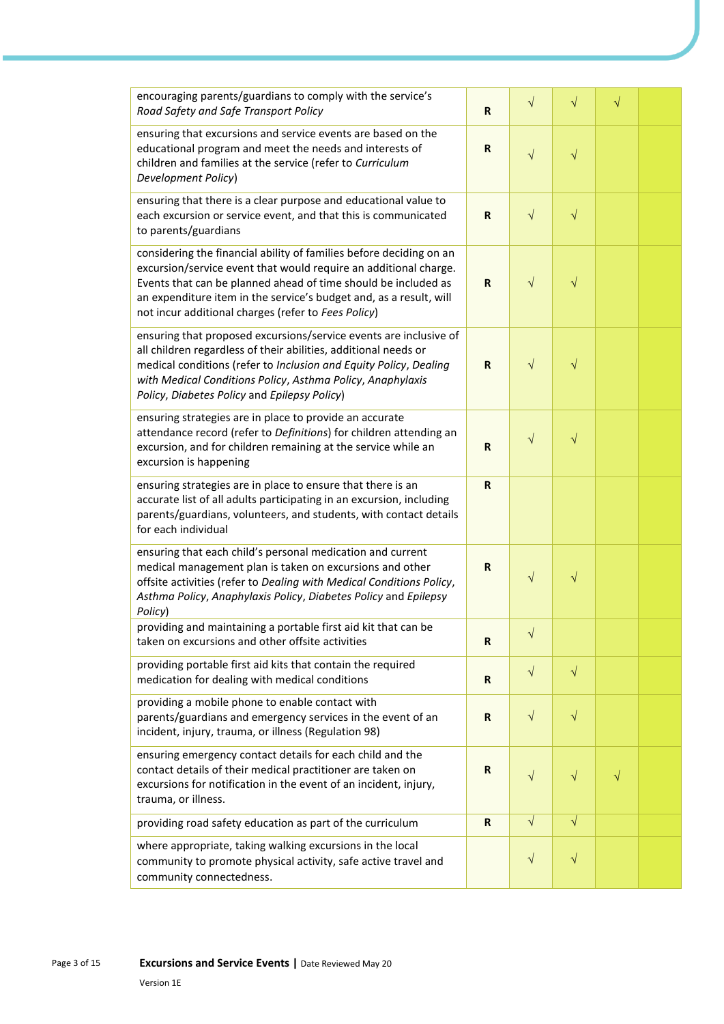| encouraging parents/guardians to comply with the service's<br>Road Safety and Safe Transport Policy                                                                                                                                                                                                                                    | $\mathbf R$ | $\sqrt{}$  | $\sqrt{}$ | $\sqrt{}$ |  |
|----------------------------------------------------------------------------------------------------------------------------------------------------------------------------------------------------------------------------------------------------------------------------------------------------------------------------------------|-------------|------------|-----------|-----------|--|
| ensuring that excursions and service events are based on the<br>educational program and meet the needs and interests of<br>children and families at the service (refer to Curriculum<br>Development Policy)                                                                                                                            | R           | $\sqrt{}$  | $\sqrt{}$ |           |  |
| ensuring that there is a clear purpose and educational value to<br>each excursion or service event, and that this is communicated<br>to parents/guardians                                                                                                                                                                              | R           | $\sqrt{ }$ | $\sqrt{}$ |           |  |
| considering the financial ability of families before deciding on an<br>excursion/service event that would require an additional charge.<br>Events that can be planned ahead of time should be included as<br>an expenditure item in the service's budget and, as a result, will<br>not incur additional charges (refer to Fees Policy) | $\mathbf R$ | $\sqrt{}$  | $\sqrt{}$ |           |  |
| ensuring that proposed excursions/service events are inclusive of<br>all children regardless of their abilities, additional needs or<br>medical conditions (refer to Inclusion and Equity Policy, Dealing<br>with Medical Conditions Policy, Asthma Policy, Anaphylaxis<br>Policy, Diabetes Policy and Epilepsy Policy)                | $\mathbf R$ | $\sqrt{}$  | $\sqrt{}$ |           |  |
| ensuring strategies are in place to provide an accurate<br>attendance record (refer to Definitions) for children attending an<br>excursion, and for children remaining at the service while an<br>excursion is happening                                                                                                               | R           | $\sqrt{}$  | $\sqrt{}$ |           |  |
| ensuring strategies are in place to ensure that there is an<br>accurate list of all adults participating in an excursion, including<br>parents/guardians, volunteers, and students, with contact details<br>for each individual                                                                                                        | $\mathbf R$ |            |           |           |  |
| ensuring that each child's personal medication and current<br>medical management plan is taken on excursions and other<br>offsite activities (refer to Dealing with Medical Conditions Policy,<br>Asthma Policy, Anaphylaxis Policy, Diabetes Policy and Epilepsy<br>Policy)                                                           | R           | $\sqrt{}$  | $\sqrt{}$ |           |  |
| providing and maintaining a portable first aid kit that can be<br>taken on excursions and other offsite activities                                                                                                                                                                                                                     | $\mathbf R$ | $\sqrt{}$  |           |           |  |
| providing portable first aid kits that contain the required<br>medication for dealing with medical conditions                                                                                                                                                                                                                          | $\mathbf R$ | $\sqrt{ }$ | $\sqrt{}$ |           |  |
| providing a mobile phone to enable contact with<br>parents/guardians and emergency services in the event of an<br>incident, injury, trauma, or illness (Regulation 98)                                                                                                                                                                 | $\mathbf R$ | $\sqrt{ }$ | $\sqrt{}$ |           |  |
| ensuring emergency contact details for each child and the<br>contact details of their medical practitioner are taken on<br>excursions for notification in the event of an incident, injury,<br>trauma, or illness.                                                                                                                     | $\mathsf R$ | $\sqrt{}$  | $\sqrt{}$ | $\sqrt{}$ |  |
| providing road safety education as part of the curriculum                                                                                                                                                                                                                                                                              | $\mathbf R$ | $\sqrt{ }$ | $\sqrt{}$ |           |  |
| where appropriate, taking walking excursions in the local<br>community to promote physical activity, safe active travel and<br>community connectedness.                                                                                                                                                                                |             | $\sqrt{ }$ | $\sqrt{}$ |           |  |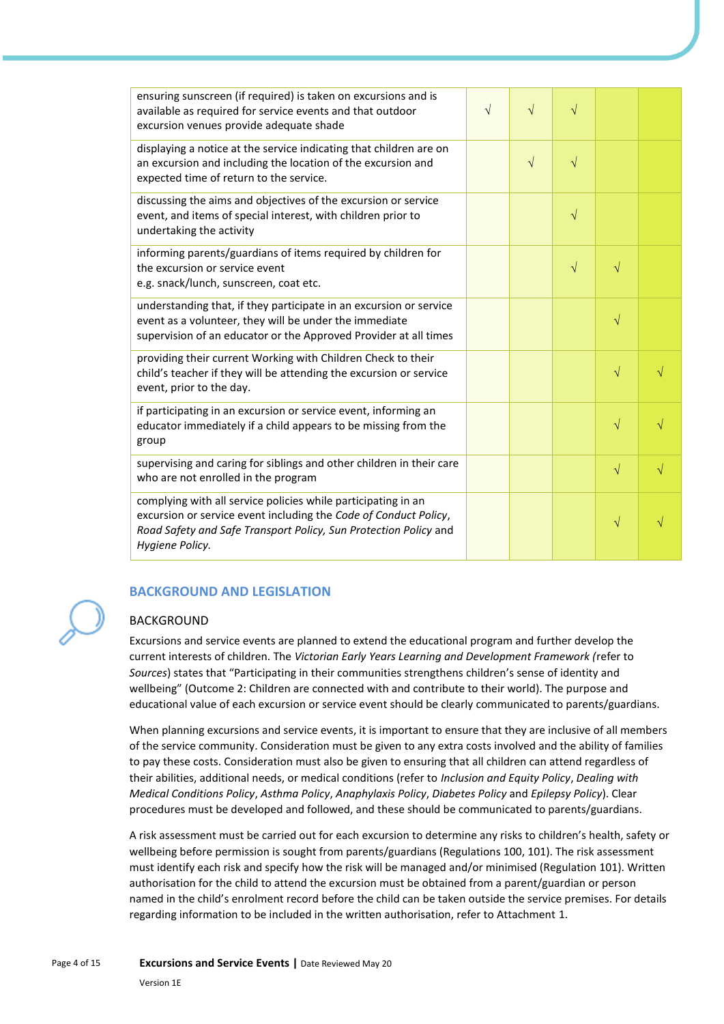| ensuring sunscreen (if required) is taken on excursions and is<br>available as required for service events and that outdoor<br>excursion venues provide adequate shade                                                   | $\sqrt{}$ | $\sqrt{}$  | $\sqrt{}$ |           |  |
|--------------------------------------------------------------------------------------------------------------------------------------------------------------------------------------------------------------------------|-----------|------------|-----------|-----------|--|
| displaying a notice at the service indicating that children are on<br>an excursion and including the location of the excursion and<br>expected time of return to the service.                                            |           | $\sqrt{ }$ | $\sqrt{}$ |           |  |
| discussing the aims and objectives of the excursion or service<br>event, and items of special interest, with children prior to<br>undertaking the activity                                                               |           |            | $\sqrt{}$ |           |  |
| informing parents/guardians of items required by children for<br>the excursion or service event<br>e.g. snack/lunch, sunscreen, coat etc.                                                                                |           |            | $\sqrt{}$ | $\sqrt{}$ |  |
| understanding that, if they participate in an excursion or service<br>event as a volunteer, they will be under the immediate<br>supervision of an educator or the Approved Provider at all times                         |           |            |           | $\sqrt{}$ |  |
| providing their current Working with Children Check to their<br>child's teacher if they will be attending the excursion or service<br>event, prior to the day.                                                           |           |            |           | $\sqrt{}$ |  |
| if participating in an excursion or service event, informing an<br>educator immediately if a child appears to be missing from the<br>group                                                                               |           |            |           | $\sqrt{}$ |  |
| supervising and caring for siblings and other children in their care<br>who are not enrolled in the program                                                                                                              |           |            |           | $\sqrt{}$ |  |
| complying with all service policies while participating in an<br>excursion or service event including the Code of Conduct Policy,<br>Road Safety and Safe Transport Policy, Sun Protection Policy and<br>Hygiene Policy. |           |            |           | V         |  |

# **BACKGROUND AND LEGISLATION**

## BACKGROUND

Excursions and service events are planned to extend the educational program and further develop the current interests of children. The *Victorian Early Years Learning and Development Framework (*refer to *Sources*) states that "Participating in their communities strengthens children's sense of identity and wellbeing" (Outcome 2: Children are connected with and contribute to their world). The purpose and educational value of each excursion or service event should be clearly communicated to parents/guardians.

When planning excursions and service events, it is important to ensure that they are inclusive of all members of the service community. Consideration must be given to any extra costs involved and the ability of families to pay these costs. Consideration must also be given to ensuring that all children can attend regardless of their abilities, additional needs, or medical conditions (refer to *Inclusion and Equity Policy*, *Dealing with Medical Conditions Policy*, *Asthma Policy*, *Anaphylaxis Policy*, *Diabetes Policy* and *Epilepsy Policy*). Clear procedures must be developed and followed, and these should be communicated to parents/guardians.

A risk assessment must be carried out for each excursion to determine any risks to children's health, safety or wellbeing before permission is sought from parents/guardians (Regulations 100, 101). The risk assessment must identify each risk and specify how the risk will be managed and/or minimised (Regulation 101). Written authorisation for the child to attend the excursion must be obtained from a parent/guardian or person named in the child's enrolment record before the child can be taken outside the service premises. For details regarding information to be included in the written authorisation, refer to Attachment 1.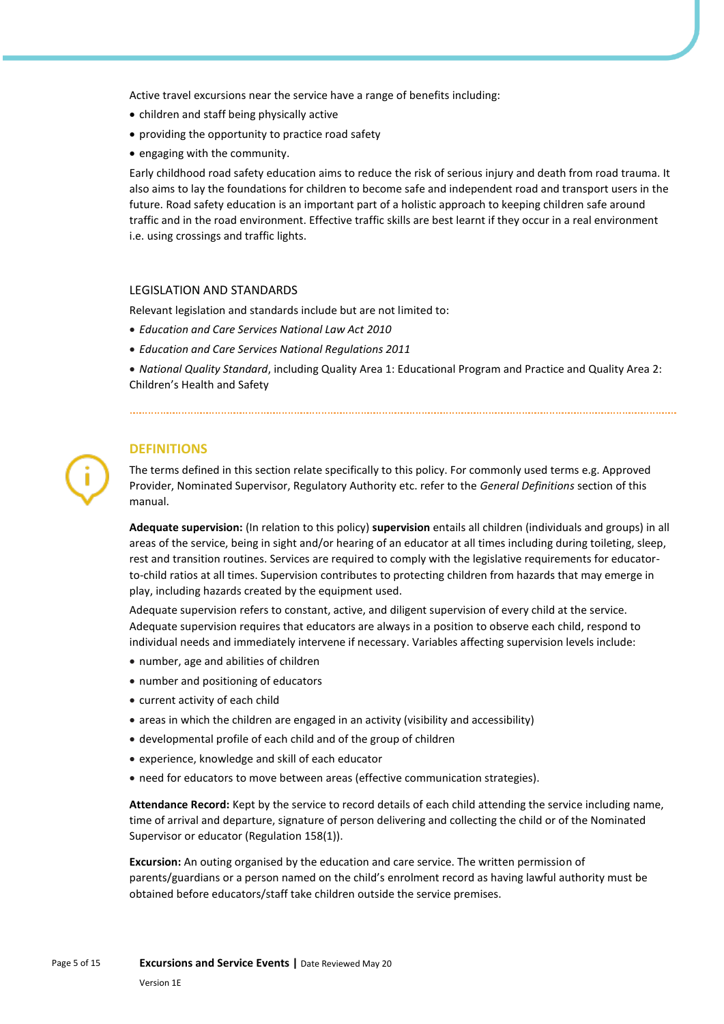Active travel excursions near the service have a range of benefits including:

- children and staff being physically active
- providing the opportunity to practice road safety
- engaging with the community.

Early childhood road safety education aims to reduce the risk of serious injury and death from road trauma. It also aims to lay the foundations for children to become safe and independent road and transport users in the future. Road safety education is an important part of a holistic approach to keeping children safe around traffic and in the road environment. Effective traffic skills are best learnt if they occur in a real environment i.e. using crossings and traffic lights.

#### LEGISLATION AND STANDARDS

Relevant legislation and standards include but are not limited to:

- *Education and Care Services National Law Act 2010*
- *Education and Care Services National Regulations 2011*

• *National Quality Standard*, including Quality Area 1: Educational Program and Practice and Quality Area 2: Children's Health and Safety

### **DEFINITIONS**

The terms defined in this section relate specifically to this policy. For commonly used terms e.g. Approved Provider, Nominated Supervisor, Regulatory Authority etc. refer to the *General Definitions* section of this manual.

**Adequate supervision:** (In relation to this policy) **supervision** entails all children (individuals and groups) in all areas of the service, being in sight and/or hearing of an educator at all times including during toileting, sleep, rest and transition routines. Services are required to comply with the legislative requirements for educatorto-child ratios at all times. Supervision contributes to protecting children from hazards that may emerge in play, including hazards created by the equipment used.

Adequate supervision refers to constant, active, and diligent supervision of every child at the service. Adequate supervision requires that educators are always in a position to observe each child, respond to individual needs and immediately intervene if necessary. Variables affecting supervision levels include:

- number, age and abilities of children
- number and positioning of educators
- current activity of each child
- areas in which the children are engaged in an activity (visibility and accessibility)
- developmental profile of each child and of the group of children
- experience, knowledge and skill of each educator
- need for educators to move between areas (effective communication strategies).

**Attendance Record:** Kept by the service to record details of each child attending the service including name, time of arrival and departure, signature of person delivering and collecting the child or of the Nominated Supervisor or educator (Regulation 158(1)).

**Excursion:** An outing organised by the education and care service. The written permission of parents/guardians or a person named on the child's enrolment record as having lawful authority must be obtained before educators/staff take children outside the service premises.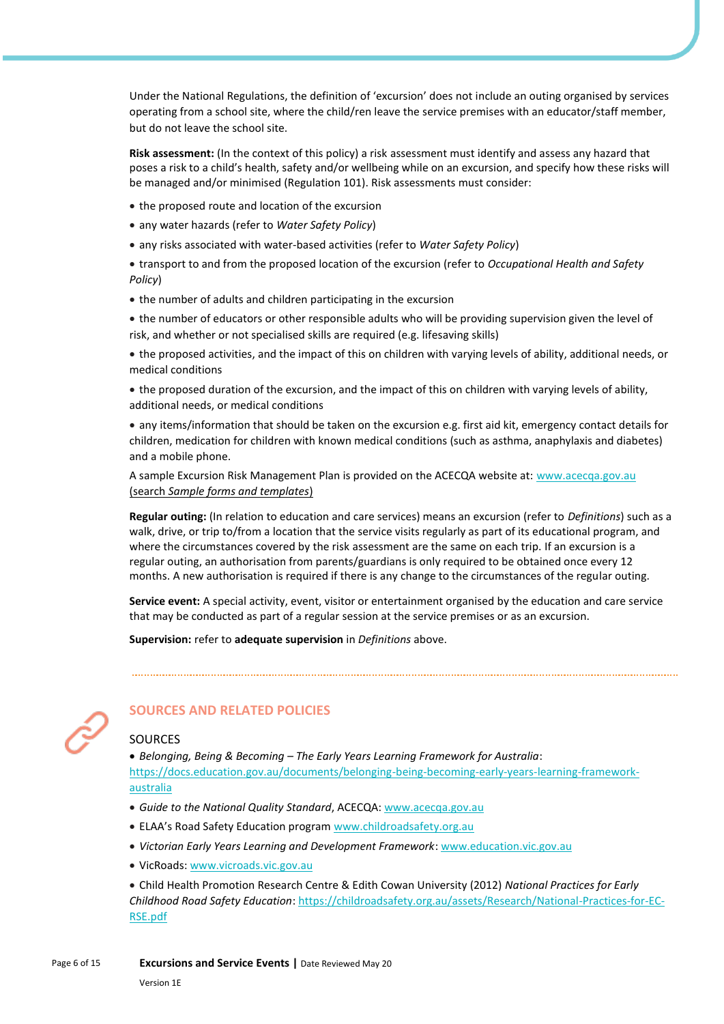Under the National Regulations, the definition of 'excursion' does not include an outing organised by services operating from a school site, where the child/ren leave the service premises with an educator/staff member, but do not leave the school site.

**Risk assessment:** (In the context of this policy) a risk assessment must identify and assess any hazard that poses a risk to a child's health, safety and/or wellbeing while on an excursion, and specify how these risks will be managed and/or minimised (Regulation 101). Risk assessments must consider:

- the proposed route and location of the excursion
- any water hazards (refer to *Water Safety Policy*)
- any risks associated with water-based activities (refer to *Water Safety Policy*)

• transport to and from the proposed location of the excursion (refer to *Occupational Health and Safety Policy*)

- the number of adults and children participating in the excursion
- the number of educators or other responsible adults who will be providing supervision given the level of risk, and whether or not specialised skills are required (e.g. lifesaving skills)

• the proposed activities, and the impact of this on children with varying levels of ability, additional needs, or medical conditions

• the proposed duration of the excursion, and the impact of this on children with varying levels of ability, additional needs, or medical conditions

• any items/information that should be taken on the excursion e.g. first aid kit, emergency contact details for children, medication for children with known medical conditions (such as asthma, anaphylaxis and diabetes) and a mobile phone.

A sample Excursion Risk Management Plan is provided on the ACECQA website at: [www.acecqa.gov.au](http://www.acecqa.gov.au/) (search *Sample forms and templates*)

**Regular outing:** (In relation to education and care services) means an excursion (refer to *Definitions*) such as a walk, drive, or trip to/from a location that the service visits regularly as part of its educational program, and where the circumstances covered by the risk assessment are the same on each trip. If an excursion is a regular outing, an authorisation from parents/guardians is only required to be obtained once every 12 months. A new authorisation is required if there is any change to the circumstances of the regular outing.

**Service event:** A special activity, event, visitor or entertainment organised by the education and care service that may be conducted as part of a regular session at the service premises or as an excursion.

**Supervision:** refer to **adequate supervision** in *Definitions* above.



# **SOURCES AND RELATED POLICIES**

## SOURCES

• *Belonging, Being & Becoming – The Early Years Learning Framework for Australia*: [https://docs.education.gov.au/documents/belonging-being-becoming-early-years-learning-framework](https://docs.education.gov.au/documents/belonging-being-becoming-early-years-learning-framework-australia)[australia](https://docs.education.gov.au/documents/belonging-being-becoming-early-years-learning-framework-australia)

- *Guide to the National Quality Standard*, ACECQA: [www.acecqa.gov.au](http://www.acecqa.gov.au/)
- ELAA's Road Safety Education program [www.childroadsafety.org.au](http://childroadsafety.org.au/)
- *Victorian Early Years Learning and Development Framework*[: www.education.vic.gov.au](http://www.education.vic.gov.au/Pages/default.aspx)
- VicRoads[: www.vicroads.vic.gov.au](http://www.vicroads.vic.gov.au/)

• Child Health Promotion Research Centre & Edith Cowan University (2012) *National Practices for Early Childhood Road Safety Education*[: https://childroadsafety.org.au/assets/Research/National-Practices-for-EC-](https://childroadsafety.org.au/assets/Research/National-Practices-for-EC-RSE.pdf)[RSE.pdf](https://childroadsafety.org.au/assets/Research/National-Practices-for-EC-RSE.pdf)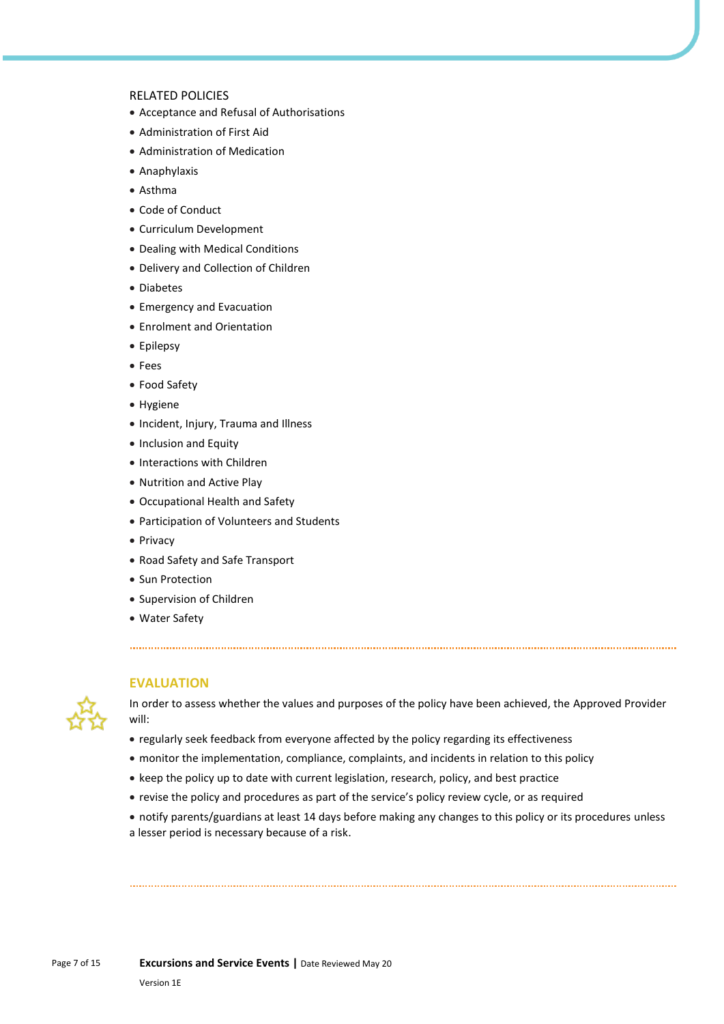#### RELATED POLICIES

- Acceptance and Refusal of Authorisations
- Administration of First Aid
- Administration of Medication
- Anaphylaxis
- Asthma
- Code of Conduct
- Curriculum Development
- Dealing with Medical Conditions
- Delivery and Collection of Children
- Diabetes
- Emergency and Evacuation
- Enrolment and Orientation
- Epilepsy
- Fees
- Food Safety
- Hygiene
- Incident, Injury, Trauma and Illness
- Inclusion and Equity
- Interactions with Children
- Nutrition and Active Play
- Occupational Health and Safety
- Participation of Volunteers and Students
- Privacy
- Road Safety and Safe Transport
- Sun Protection
- Supervision of Children
- Water Safety



#### **EVALUATION**

In order to assess whether the values and purposes of the policy have been achieved, the Approved Provider will:

- regularly seek feedback from everyone affected by the policy regarding its effectiveness
- monitor the implementation, compliance, complaints, and incidents in relation to this policy
- keep the policy up to date with current legislation, research, policy, and best practice
- revise the policy and procedures as part of the service's policy review cycle, or as required
- notify parents/guardians at least 14 days before making any changes to this policy or its procedures unless

a lesser period is necessary because of a risk.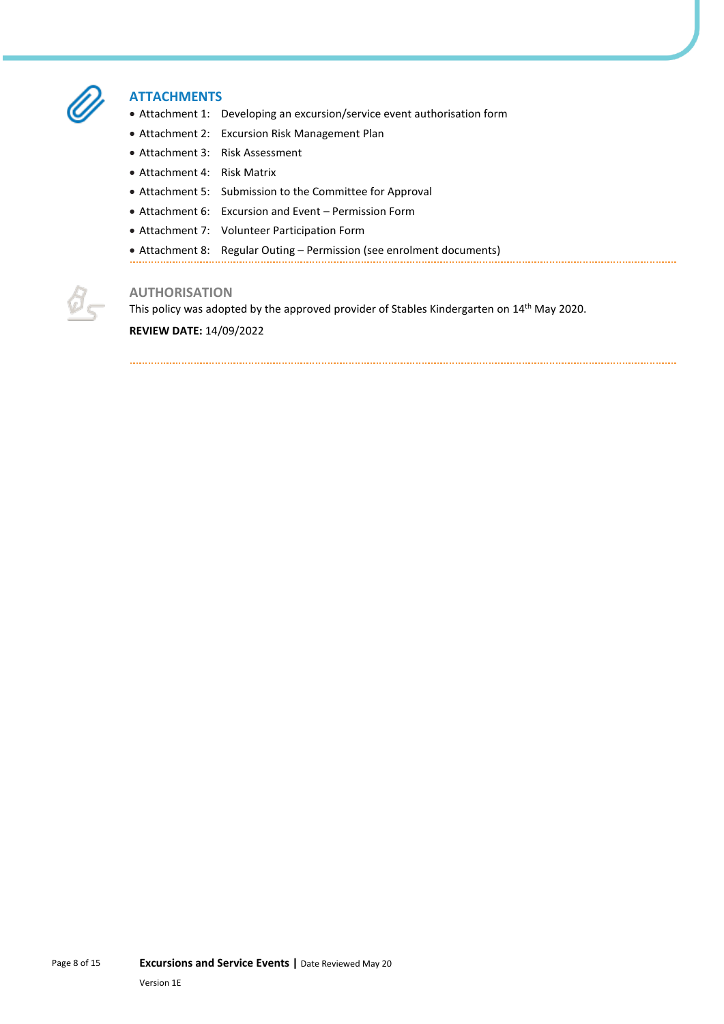

### **ATTACHMENTS**

- Attachment 1: Developing an excursion/service event authorisation form
- Attachment 2: Excursion Risk Management Plan
- Attachment 3: Risk Assessment
- Attachment 4: Risk Matrix
- Attachment 5: Submission to the Committee for Approval
- Attachment 6: Excursion and Event Permission Form
- Attachment 7: Volunteer Participation Form
- Attachment 8: Regular Outing Permission (see enrolment documents)



## **AUTHORISATION**

This policy was adopted by the approved provider of Stables Kindergarten on 14<sup>th</sup> May 2020.

#### **REVIEW DATE:** 14/09/2022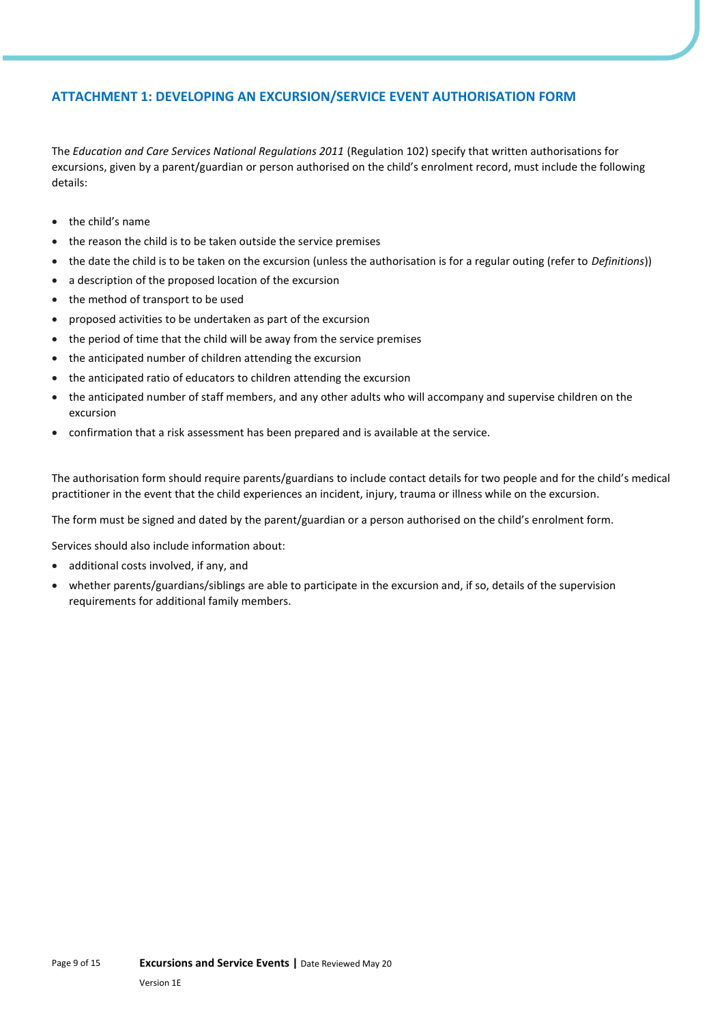# **ATTACHMENT 1: DEVELOPING AN EXCURSION/SERVICE EVENT AUTHORISATION FORM**

The *Education and Care Services National Regulations 2011* (Regulation 102) specify that written authorisations for excursions, given by a parent/guardian or person authorised on the child's enrolment record, must include the following details:

- the child's name
- the reason the child is to be taken outside the service premises
- the date the child is to be taken on the excursion (unless the authorisation is for a regular outing (refer to *Definitions*))
- a description of the proposed location of the excursion
- the method of transport to be used
- proposed activities to be undertaken as part of the excursion
- the period of time that the child will be away from the service premises
- the anticipated number of children attending the excursion
- the anticipated ratio of educators to children attending the excursion
- the anticipated number of staff members, and any other adults who will accompany and supervise children on the excursion
- confirmation that a risk assessment has been prepared and is available at the service.

The authorisation form should require parents/guardians to include contact details for two people and for the child's medical practitioner in the event that the child experiences an incident, injury, trauma or illness while on the excursion.

The form must be signed and dated by the parent/guardian or a person authorised on the child's enrolment form.

Services should also include information about:

- additional costs involved, if any, and
- whether parents/guardians/siblings are able to participate in the excursion and, if so, details of the supervision requirements for additional family members.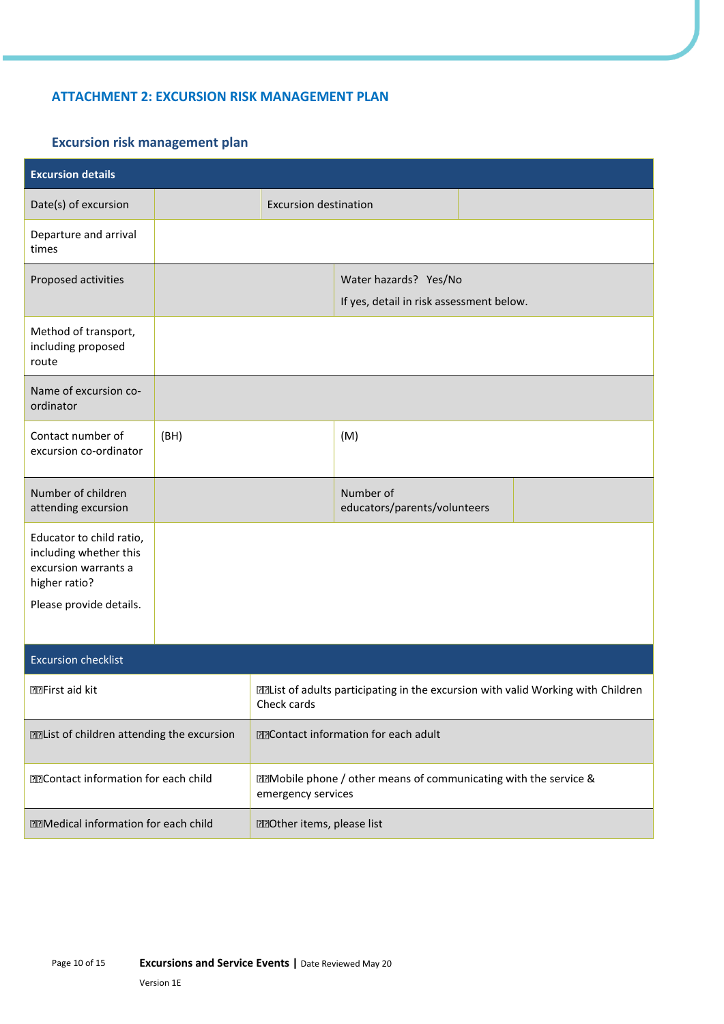# **ATTACHMENT 2: EXCURSION RISK MANAGEMENT PLAN**

# **Excursion risk management plan**

| <b>Excursion details</b>                                                                                                                       |      |                                                                                                           |                                                                   |  |  |
|------------------------------------------------------------------------------------------------------------------------------------------------|------|-----------------------------------------------------------------------------------------------------------|-------------------------------------------------------------------|--|--|
| Date(s) of excursion                                                                                                                           |      | <b>Excursion destination</b>                                                                              |                                                                   |  |  |
| Departure and arrival<br>times                                                                                                                 |      |                                                                                                           |                                                                   |  |  |
| Proposed activities                                                                                                                            |      |                                                                                                           | Water hazards? Yes/No<br>If yes, detail in risk assessment below. |  |  |
| Method of transport,<br>including proposed<br>route                                                                                            |      |                                                                                                           |                                                                   |  |  |
| Name of excursion co-<br>ordinator                                                                                                             |      |                                                                                                           |                                                                   |  |  |
| Contact number of<br>excursion co-ordinator                                                                                                    | (BH) |                                                                                                           | (M)                                                               |  |  |
| Number of children<br>attending excursion                                                                                                      |      |                                                                                                           | Number of<br>educators/parents/volunteers                         |  |  |
| Educator to child ratio,<br>including whether this<br>excursion warrants a<br>higher ratio?                                                    |      |                                                                                                           |                                                                   |  |  |
| Please provide details.                                                                                                                        |      |                                                                                                           |                                                                   |  |  |
| <b>Excursion checklist</b>                                                                                                                     |      |                                                                                                           |                                                                   |  |  |
| <b>PPFirst aid kit</b>                                                                                                                         |      | <b>Malaketia</b> of adults participating in the excursion with valid Working with Children<br>Check cards |                                                                   |  |  |
| <b>M2Contact information for each adult</b><br><b>Mallist of children attending the excursion</b>                                              |      |                                                                                                           |                                                                   |  |  |
| <b>Mobile phone / other means of communicating with the service &amp;</b><br><b>EEContact information for each child</b><br>emergency services |      |                                                                                                           |                                                                   |  |  |
| <b>Medical information for each child</b>                                                                                                      |      | <b>MOther items, please list</b>                                                                          |                                                                   |  |  |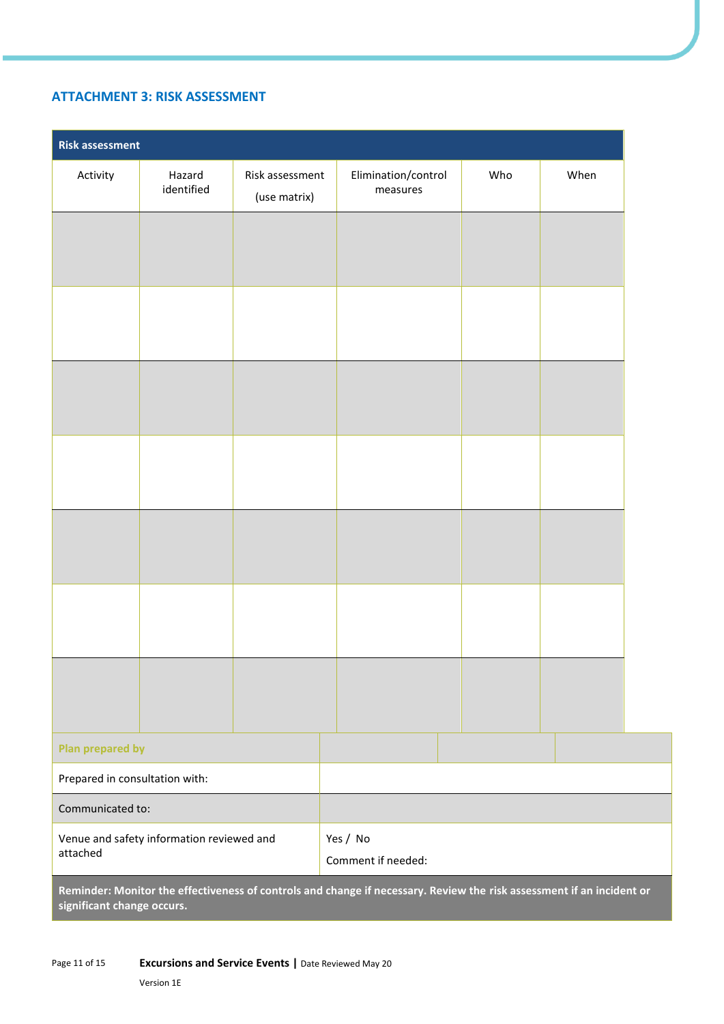# **ATTACHMENT 3: RISK ASSESSMENT**

| <b>Risk assessment</b>                                                                                                |                      |                                 |                                 |     |      |
|-----------------------------------------------------------------------------------------------------------------------|----------------------|---------------------------------|---------------------------------|-----|------|
| Activity                                                                                                              | Hazard<br>identified | Risk assessment<br>(use matrix) | Elimination/control<br>measures | Who | When |
|                                                                                                                       |                      |                                 |                                 |     |      |
|                                                                                                                       |                      |                                 |                                 |     |      |
|                                                                                                                       |                      |                                 |                                 |     |      |
|                                                                                                                       |                      |                                 |                                 |     |      |
|                                                                                                                       |                      |                                 |                                 |     |      |
|                                                                                                                       |                      |                                 |                                 |     |      |
|                                                                                                                       |                      |                                 |                                 |     |      |
|                                                                                                                       |                      |                                 |                                 |     |      |
|                                                                                                                       |                      |                                 |                                 |     |      |
|                                                                                                                       |                      |                                 |                                 |     |      |
|                                                                                                                       |                      |                                 |                                 |     |      |
|                                                                                                                       |                      |                                 |                                 |     |      |
|                                                                                                                       |                      |                                 |                                 |     |      |
|                                                                                                                       |                      |                                 |                                 |     |      |
| Plan prepared by                                                                                                      |                      |                                 |                                 |     |      |
| Prepared in consultation with:                                                                                        |                      |                                 |                                 |     |      |
| Communicated to:                                                                                                      |                      |                                 |                                 |     |      |
| Venue and safety information reviewed and<br>Yes / No<br>attached<br>Comment if needed:                               |                      |                                 |                                 |     |      |
| Reminder: Monitor the effectiveness of controls and change if necessary. Review the risk assessment if an incident or |                      |                                 |                                 |     |      |

**significant change occurs.**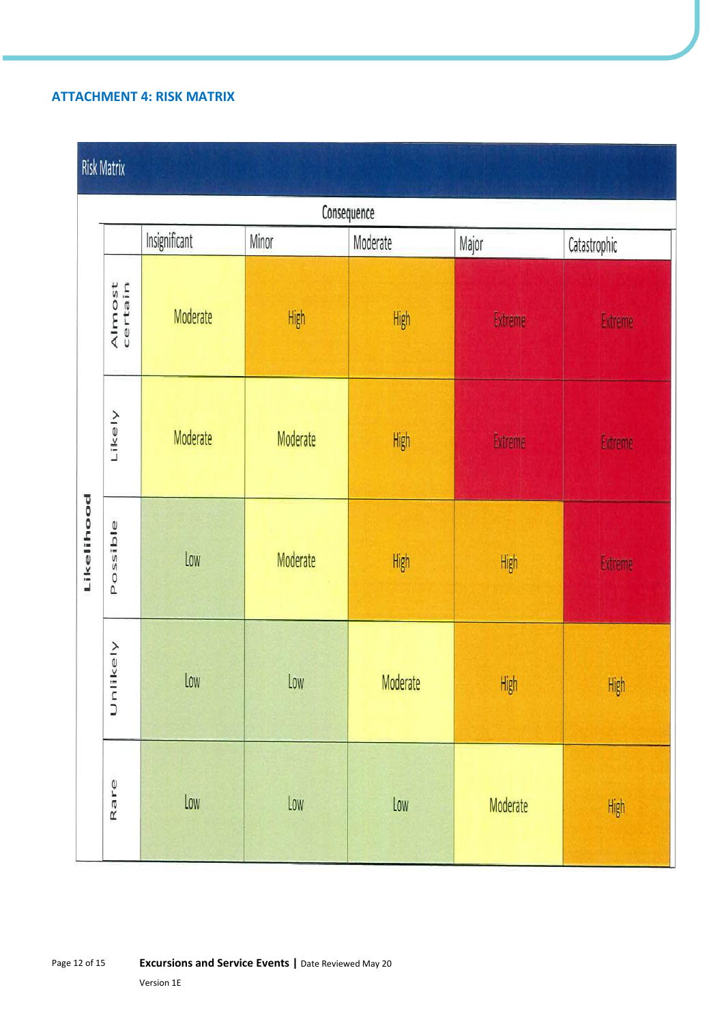# **ATTACHMENT 4: RISK MATRIX**

# **Risk Matrix**

| Consequence |                   |               |                                   |          |          |                |  |
|-------------|-------------------|---------------|-----------------------------------|----------|----------|----------------|--|
|             |                   | Insignificant | <b>Minor</b><br>Moderate<br>Major |          |          | Catastrophic   |  |
|             | Almost<br>certain | Moderate      | High                              | High     | Extreme  | <b>Extreme</b> |  |
|             | Likely            | Moderate      | Moderate                          | High     | Extreme  | Extreme        |  |
| Likelihood  | Possible          | Low           | Moderate                          | High     | High     | Extreme        |  |
|             | Unlikely          | Low           | Low                               | Moderate | High     | High           |  |
|             | Rare              | Low           | Low                               | Low      | Moderate | High           |  |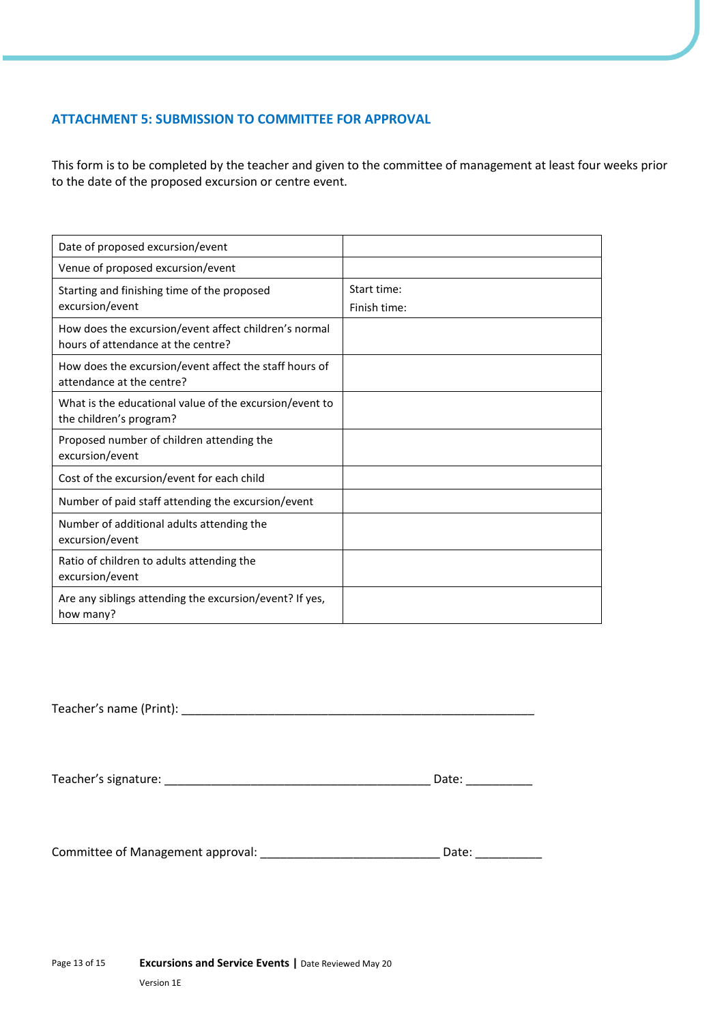# **ATTACHMENT 5: SUBMISSION TO COMMITTEE FOR APPROVAL**

This form is to be completed by the teacher and given to the committee of management at least four weeks prior to the date of the proposed excursion or centre event.

| Date of proposed excursion/event                                                            |                             |
|---------------------------------------------------------------------------------------------|-----------------------------|
| Venue of proposed excursion/event                                                           |                             |
| Starting and finishing time of the proposed<br>excursion/event                              | Start time:<br>Finish time: |
| How does the excursion/event affect children's normal<br>hours of attendance at the centre? |                             |
| How does the excursion/event affect the staff hours of<br>attendance at the centre?         |                             |
| What is the educational value of the excursion/event to<br>the children's program?          |                             |
| Proposed number of children attending the<br>excursion/event                                |                             |
| Cost of the excursion/event for each child                                                  |                             |
| Number of paid staff attending the excursion/event                                          |                             |
| Number of additional adults attending the<br>excursion/event                                |                             |
| Ratio of children to adults attending the<br>excursion/event                                |                             |
| Are any siblings attending the excursion/event? If yes,<br>how many?                        |                             |

Teacher's name (Print): \_\_\_\_\_\_\_\_\_\_\_\_\_\_\_\_\_\_\_\_\_\_\_\_\_\_\_\_\_\_\_\_\_\_\_\_\_\_\_\_\_\_\_\_\_\_\_\_\_\_\_\_\_

| Teacher's signature: | Date: |  |
|----------------------|-------|--|
|----------------------|-------|--|

Committee of Management approval: \_\_\_\_\_\_\_\_\_\_\_\_\_\_\_\_\_\_\_\_\_\_\_\_\_\_\_ Date: \_\_\_\_\_\_\_\_\_\_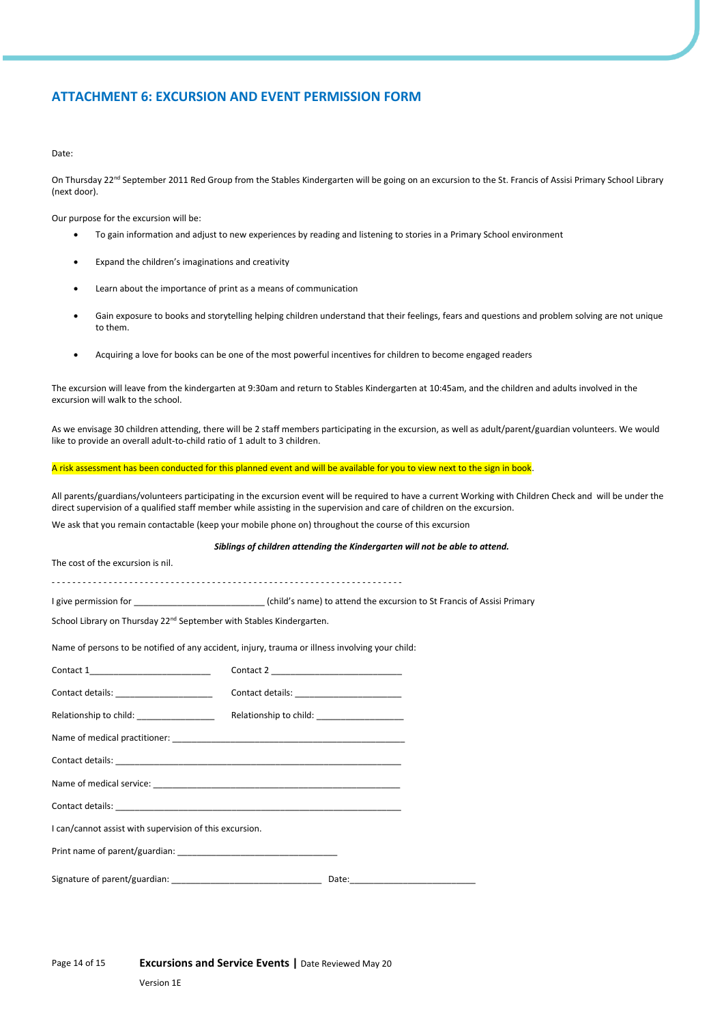## **ATTACHMENT 6: EXCURSION AND EVENT PERMISSION FORM**

#### Date:

On Thursday 22<sup>nd</sup> September 2011 Red Group from the Stables Kindergarten will be going on an excursion to the St. Francis of Assisi Primary School Library (next door).

Our purpose for the excursion will be:

- To gain information and adjust to new experiences by reading and listening to stories in a Primary School environment
- Expand the children's imaginations and creativity
- Learn about the importance of print as a means of communication
- Gain exposure to books and storytelling helping children understand that their feelings, fears and questions and problem solving are not unique to them.
- Acquiring a love for books can be one of the most powerful incentives for children to become engaged readers

The excursion will leave from the kindergarten at 9:30am and return to Stables Kindergarten at 10:45am, and the children and adults involved in the excursion will walk to the school.

As we envisage 30 children attending, there will be 2 staff members participating in the excursion, as well as adult/parent/guardian volunteers. We would like to provide an overall adult-to-child ratio of 1 adult to 3 children.

#### A risk assessment has been conducted for this planned event and will be available for you to view next to the sign in book.

All parents/guardians/volunteers participating in the excursion event will be required to have a current Working with Children Check and will be under the direct supervision of a qualified staff member while assisting in the supervision and care of children on the excursion.

We ask that you remain contactable (keep your mobile phone on) throughout the course of this excursion

#### *Siblings of children attending the Kindergarten will not be able to attend.*

The cost of the excursion is nil.

- - - - - - - - - - - - - - - - - - - - - - - - - - - - - - - - - - - - - - - - - - - - - - - - - - - - - - - - - - - - - - - - - - - -

I give permission for \_\_\_\_\_\_\_\_\_\_\_\_\_\_\_\_\_\_\_\_\_\_\_\_\_\_\_ (child's name) to attend the excursion to St Francis of Assisi Primary

School Library on Thursday 22<sup>nd</sup> September with Stables Kindergarten.

Name of persons to be notified of any accident, injury, trauma or illness involving your child:

| Contact 1___________________________                    |  |  |  |  |  |  |
|---------------------------------------------------------|--|--|--|--|--|--|
| Contact details: _____________________                  |  |  |  |  |  |  |
|                                                         |  |  |  |  |  |  |
|                                                         |  |  |  |  |  |  |
|                                                         |  |  |  |  |  |  |
|                                                         |  |  |  |  |  |  |
|                                                         |  |  |  |  |  |  |
| I can/cannot assist with supervision of this excursion. |  |  |  |  |  |  |
|                                                         |  |  |  |  |  |  |
|                                                         |  |  |  |  |  |  |